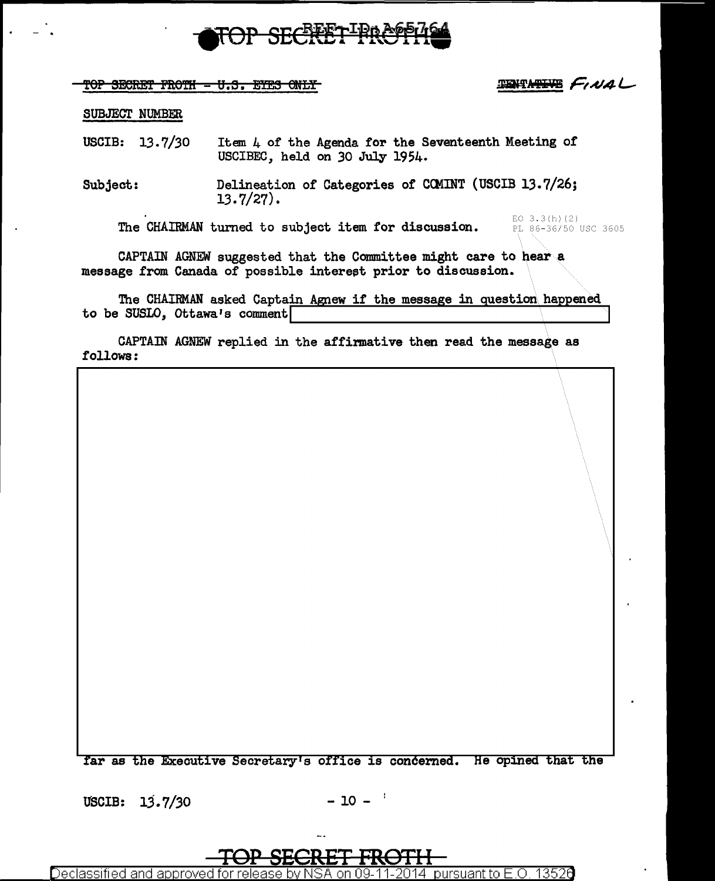

TOP SECRET FROTH - U.S. EYES ONLY

**TENTATIVE FINAL** 

#### SUBJECT NUMBER

USCIB: 13.7/30 Item 4 of the Agenda for the Seventeenth Meeting or USCIBEC, held on 30 July 1954.

Subject: Delineation or Categories or CCMINT (USCIB 13.7/26; 13.7/27).

The CHAIRMAN turned to subject item for discussion.

EO 3.3(h)(2)<br>PL 86-36/50 USC 3605

CAPTAIN AGNEW suggested that the Committee might care to bear a message from Canada of possible interest prior to discussion.

The CHAIRMAN asked Captain Agnew if the message in question happened to be SUSLO, Ottawa's comment

CAPTAIN AGNEW replied in the affinnative then read the message as follows:

ar as the Executive Secretary's office is concerned. He opined that the

USCIB:  $13.7/30$  - 10 -  $^{1}$ 

**TOP SECRET FROTH** 

Declassified and app<u>roved for release by NSA on 09-11-2014 pursuant to E.O. 13526</u>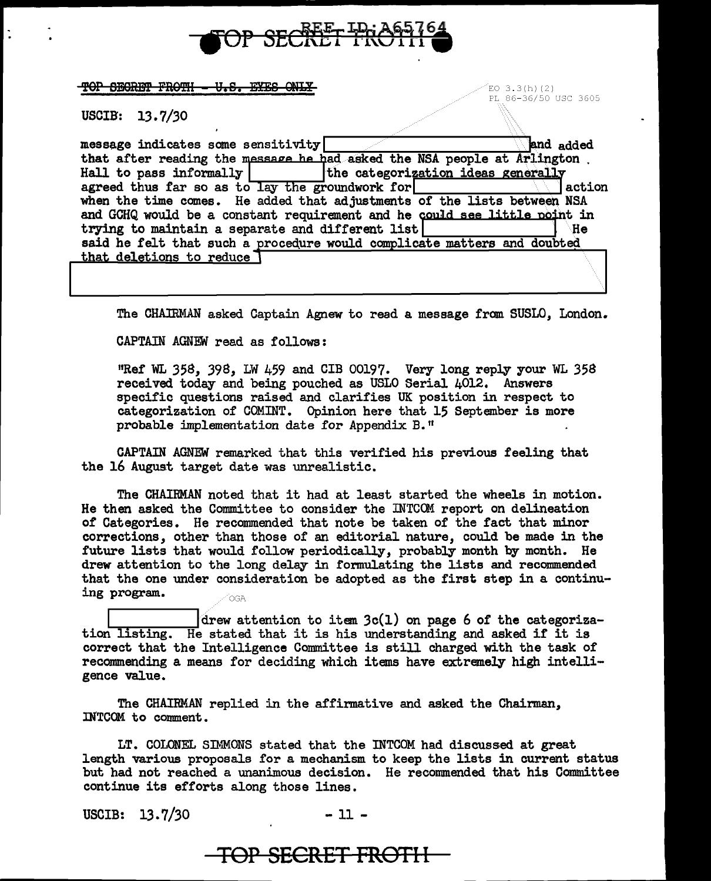

 $\overline{\textbf{TOP}}$  second  $\overline{\textbf{PROPH}}$   $\textbf{ = U. S.}$  extes  $\textbf{QMLY}$  is the second of the second second second second second second second second second second second second second second second second second second second secon

PL 86-36/50 USC 3605

USCIB: 13. 7/30

| message indicates some sensitivity                                        | and added                          |
|---------------------------------------------------------------------------|------------------------------------|
| that after reading the message he had asked the NSA people at Arlington.  |                                    |
| Hall to pass informally                                                   | the categorization ideas generally |
| agreed thus far so as to lay the groundwork for                           | action                             |
| when the time comes. He added that adjustments of the lists between NSA   |                                    |
| and GCHQ would be a constant requirement and he could see little point in |                                    |
| trying to maintain a separate and different list                          | `He                                |
| said he felt that such a procedure would complicate matters and doubted   |                                    |
| that deletions to reduce                                                  |                                    |
|                                                                           |                                    |

The CHAIRMAN asked Captain Agnew to read a message from SUSLO, London.

CAPTAIN AGNEW read as follows:

"Ref' WL 358, 398, LW 459 and CIB 00197. Very long reply your WL 358 received today and being pouched as USLO Serial 4012. Answers specific questions raised and clarifies UK position in respect to categorization of COMINT. Opinion here that 15 September is more probable implementation date for Appendix B."

CAPTAIN AGNEW remarked that this verified his previous feeling that the 16 Auguat target date was unrealistic.

The CHAIRMAN noted that it had at least started the wheels in motion. He then asked the Committee to consider the INTCOM report on delineation of' Categories. He recommended that note be taken of' the fact that minor corrections, other than those of an editorial nature, could be made in the future lists that would follow periodically, probably month by month. He drew attention to the long delay in fonnulating the lists and recommended that the one under consideration be adopted as the first step in a continuing program.

drew attention to item  $3c(1)$  on page 6 of the categoriza-<br>tion listing. He stated that it is his understanding and asked if it is correct that the Intelligence Committee is still charged with the task of recommending a means for deciding which items have extremely high intelligence value.

The CHAIRMAN replied in the affirmative and asked the Chairman, INTCOM to comment.

**TOP SECRET FROTl l** 

LT. COLONEL SIMMONS stated that the INTCOM had discussed at great length various proposals for a mechanism to keep the lists in current status but had not reached a unanimous decision. He recommended that his Committee continue its efforts along those lines.

USCIB:  $13.7/30$  - 11 -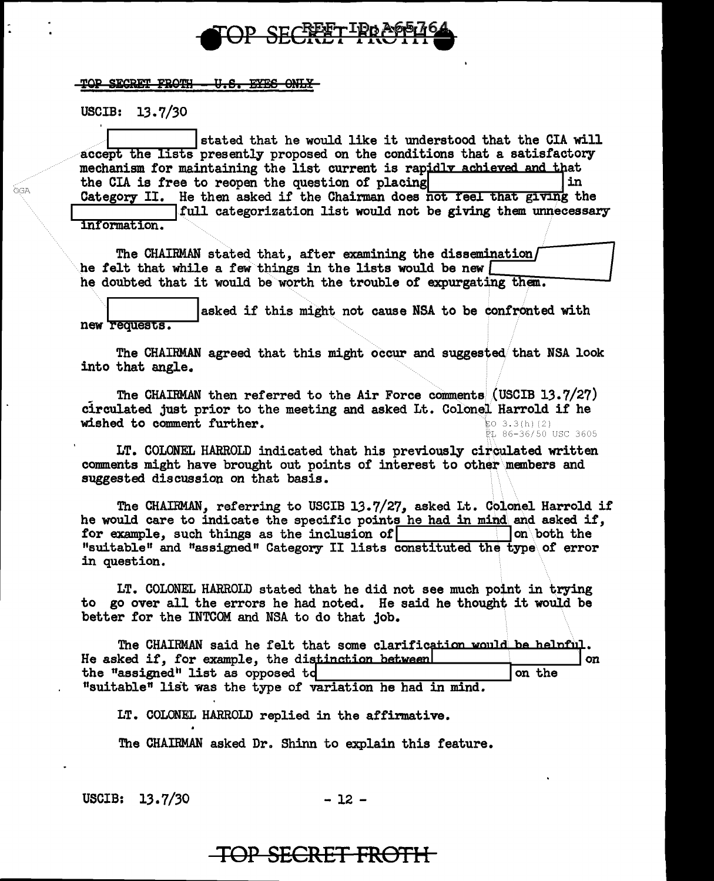

TOP SECRET FROTH <del>U.S. EYES ONLY</del>

USCIB: 13.7/30

**OGA** 

stated that he would like it understood that the CIA will accept the lists presently proposed on the conditions that a satisfactory mechanism for maintaining the list current is rapidly achieved and that the CIA is free to reopen the question of placing in Category II. He then asked if the Chairman does not feel that giving the full categorization list would not be giving them unnecessary information.

The CHAIRMAN stated that, after examining the dissemination/ he felt that while a few things in the lists would be new  $\lceil$ he doubted that it would be worth the trouble of expurgating them.

asked if this might not cause NSA to be confronted with new requests.

The CHAIRMAN agreed that this might occur and suggested that NSA look into that angle.

The CHAIRMAN then referred to the Air Force comments (USCIB 13.7/27) circulated just prior to the meeting and asked Lt. Colonel Harrold if he wished to comment further.  $503.3(h)(2)$ ...<br>PL 86-36/50 USC 3605

LT. COLONEL HARROLD indicated that his previously circulated written comments might have brought out points of interest to other members and suggested discussion on that basis.

The CHAIRMAN, referring to USCIB 13.7/27, asked Lt. Colonel Harrold if he would care to indicate the specific points he had in mind and asked if. for example, such things as the inclusion of on both the "suitable" and "assigned" Category II lists constituted the type of error in question.

LT. COLONEL HARROLD stated that he did not see much point in trying to go over all the errors he had noted. He said he thought it would be better for the INTCOM and NSA to do that job.

The CHAIRMAN said he felt that some clarification would be helpful. He asked if, for example, the distinction between! on the "assigned" list as opposed td on the "suitable" list was the type of variation he had in mind.

IT. COLONEL HARROLD replied in the affirmative.

The CHAIRMAN asked Dr. Shinn to explain this feature.

USCIB:  $13.7/30$ 

 $-12-$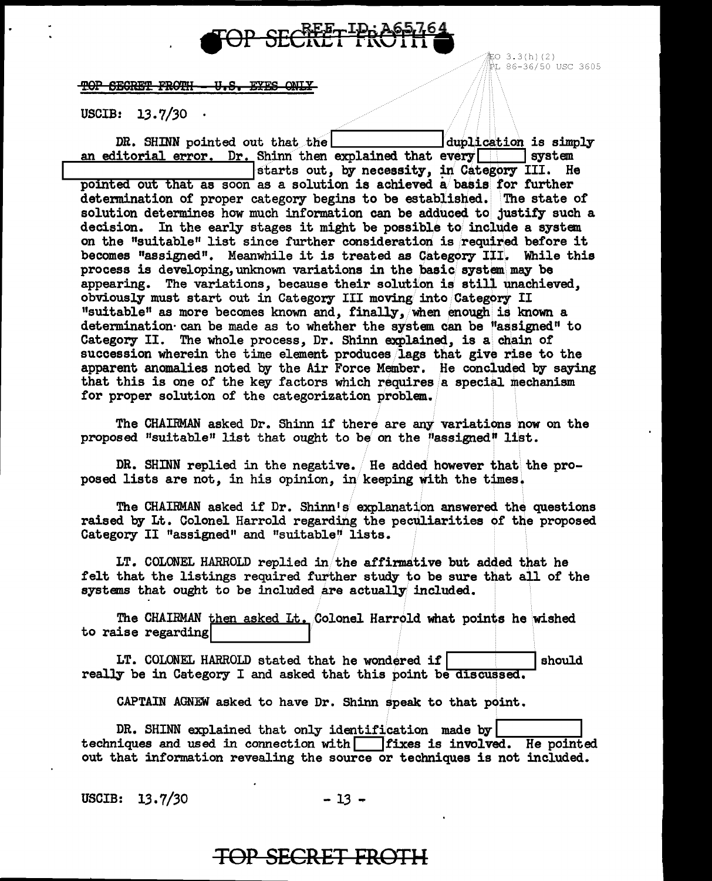

配O 3.3(h)(2) ₿L 86-36/50 USC 3605

TOP SEGRET FROTH - U.S. EYES ONLY

USCIB:  $13.7/30$ .

DR. SHINN pointed out that the duplication is simply an editorial error. Dr. Shinn then explained that every | | | system starts out, by necessity, in Category III. He pointed out that as soon as a solution is achieved a basis for further determination of proper category begins to be established. The state of solution determines how much information can be adduced to justify such a decision. In the early stages it might be possible to include a system on the "suitable" list since further consideration is required before it becomes "assigned". Meanwhile it is treated as Category III. While this process is developing, unknown variations in the basic system may be appearing. The variations, because their solution is still unachieved, obviously must start out in Category III moving into Category II "suitable" as more becomes known and, finally, when enough is known a determination can be made as to whether the system can be "assigned" to Category II. The whole process, Dr. Shinn explained, is a chain of succession wherein the time element produces lags that give rise to the apparent anomalies noted by the Air Force Member. He concluded by saying that this is one of the key factors which requires a special mechanism for proper solution of the categorization problem.

The CHAIRMAN asked Dr. Shinn if there are any variations now on the proposed "suitable" list that ought to be on the "assigned" list.

DR. SHINN replied in the negative. He added however that the proposed lists are not, in his opinion, in keeping with the times.

The CHAIRMAN asked if Dr. Shinn's explanation answered the questions raised by Lt. Colonel Harrold regarding the peculiarities of the proposed Category II "assigned" and "suitable" lists.

LT. COLONEL HARROLD replied in the affirmative but added that he felt that the listings required further study to be sure that all of the systems that ought to be included are actually included.

The CHAIRMAN then asked Lt. Colonel Harrold what points he wished to raise regarding

LT. COLONEL HARROLD stated that he wondered if should really be in Category I and asked that this point be discussed.

CAPTAIN AGNEW asked to have Dr. Shinn speak to that point.

**TOP SECRET FROTH** 

DR. SHINN explained that only identification made by techniques and used in connection with fixes is involved. He pointed out that information revealing the source or techniques is not included.

USCIB:  $13.7/30$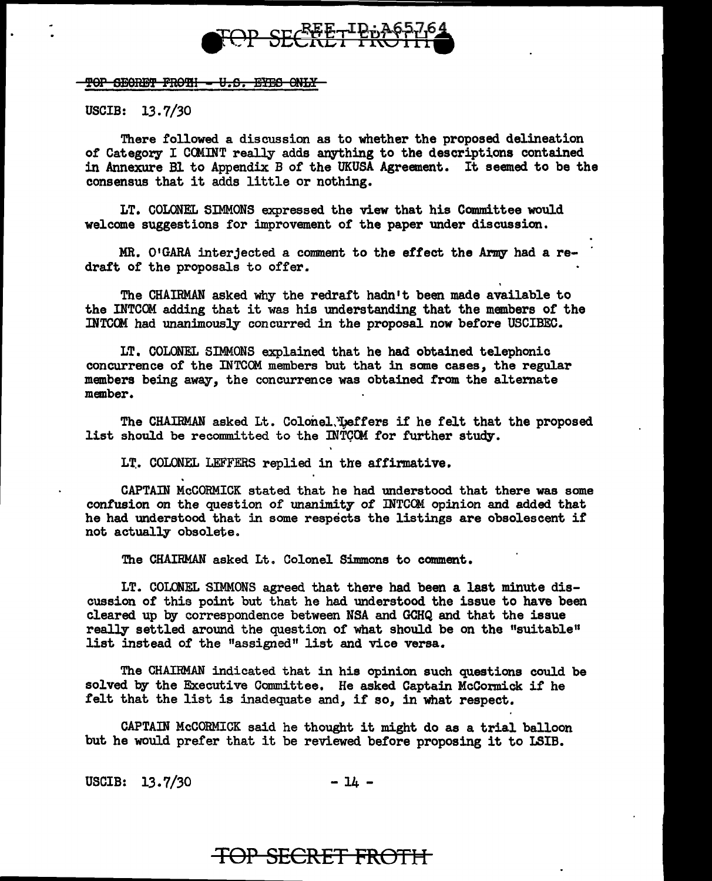

TOP SEGRET FROTH = U.S. EYES ONLY

USCIB: 13. 7 */30* 

There followed a discussion as to whether the proposed delineation of Category I COMINT really adds anything to the descriptions contained in Annexure Bl to Appendix B of the UKUSA Agreement. It seemed to be the consensus that it adds little or nothing.

LT. COLONEL SIMMONS expressed the view that his Committee would welcome suggestions for improvement of the paper under discussion.

MR. 01GARA interjected a comment to the effect the Army had a redraft of the proposals to offer.

The CHAIRMAN asked why the redraft hadn't been made available to the INTCOM adding that it was his understanding that the members of the INTCCH had unanimously concurred in the proposal now before USCIBEC.

LT. COLONEL SIMMONS explained that he had obtained telephonic concurrence of the INTCOM members but that in some cases, the regular members being away, the concurrence was obtained from the alternate member.

The CHAIRMAN asked Lt. Colonel. Leffers if he felt that the proposed list should be recommitted to the INTCOM for further study.

LT. COLONEL LEFFERS replied in the affirmative.

CAPTAIN McCORMICK stated that he had understood that there was some confusion on the question of unanimity of INTCOM opinion and added that he had understood that in some respects the listings are obsolescent if not actually obsolete.

The CHAIRMAN asked Lt. Colonel Simmons to comment.

LT. COLONEL SIMMONS agreed that there had been a last minute discussion of this point but that he had understood the issue to have been cleared. up by correspondence between NSA and GCHQ and that the issue really settled around the question of what should be on the "suitable" list instead of the "assigned" list and vice versa.

The CHAIRMAN indicated that in his opinion such questions could be solved by the Executive Committee. He asked Captain McCormick if he felt that the list is inadequate and, if so, in what respect.

CAPTAIN McCORMICK said he thought it might do as a trial balloon but he would prefer that it be reviewed before proposing it to LSIB.

 $USCIB: 13.7/30 - 14 -$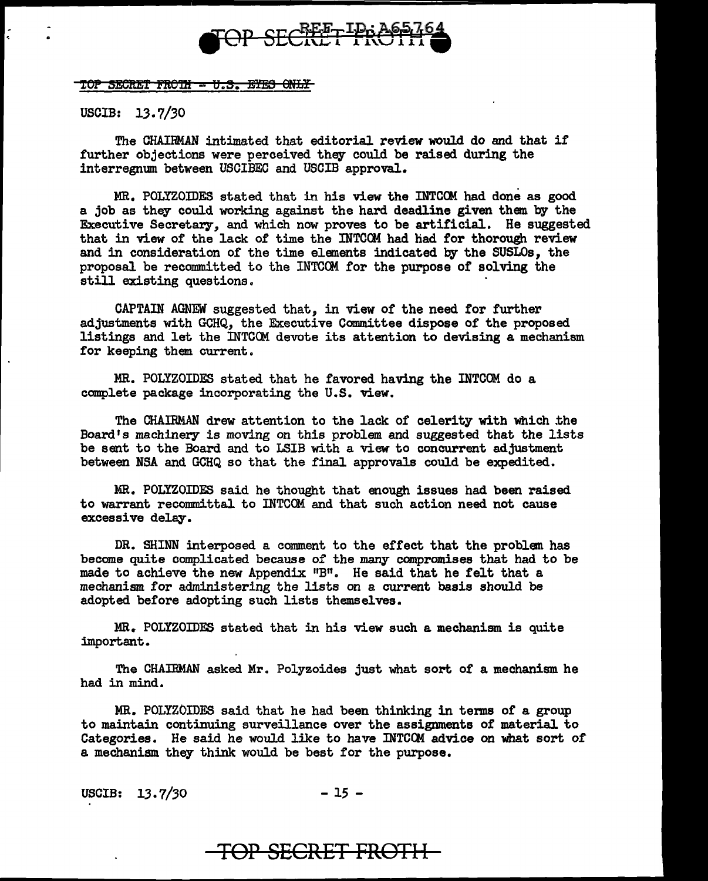

TOP SECRET FROTH - U.S. ETES ONLY

USCIB: 13.7/30

The CHAIRMAN intimated that editorial review would do and that if further objections were perceived they could be raised during the interregnum between USCIBEC and USCIB approval.

MR. POLYZOIDES stated that in his view the INTCOM had done as good a job as they could working against the hard deadline given them by the Executive Secretary, and which now proves to be artificial. He suggested that in view of the lack of time the INTCOM had had for thorough review and in consideration of the time elements indicated by the SUSLOs, the proposal be recommitted to the INTCOM for the purpose of solving the still existing questions.

CAPTAIN AGNEW suggested that, in view of the need for further adjustments with GCHQ, the Executive Committee dispose of the proposed listings and let the INTCOM devote its attention to devising a mechanism for keeping them current.

MR. POLYZOIDES stated that he favored having the INTCOM do a complete package incorporating the U.S. view.

The CHAIRMAN drew attention to the lack of celerity with which the Board's machinery is moving on this problem and suggested that the lists be sent to the Board and to LSIB with a view to concurrent adjustment between NSA and GCHQ so that the final approvals could be expedited.

MR. POLYZOIDES said he thought that enough issues had been raised to warrant recommittal to INTCOM and that such action need not cause excessive delay.

DR. SHINN interposed a comment to the effect that the problem has become quite complicated because of the many compromises that had to be made to achieve the new Appendix "B". He said that he felt that a mechanism for administering the lists on a current basis should be adopted before adopting such lists themselves.

MR. POLYZOIDES stated that in his view such a mechanism is quite important.

The CHAIRMAN asked Mr. Polyzoides just what sort of a mechanism he had in mind.

MR. POLYZOIDES said that he had been thinking in terms of a group to maintain continuing surveillance over the assignments of material to Categories. He said he would like to have INTCOM advice on what sort of a mechanism they think would be best for the purpose.

USCIB: 13.7/30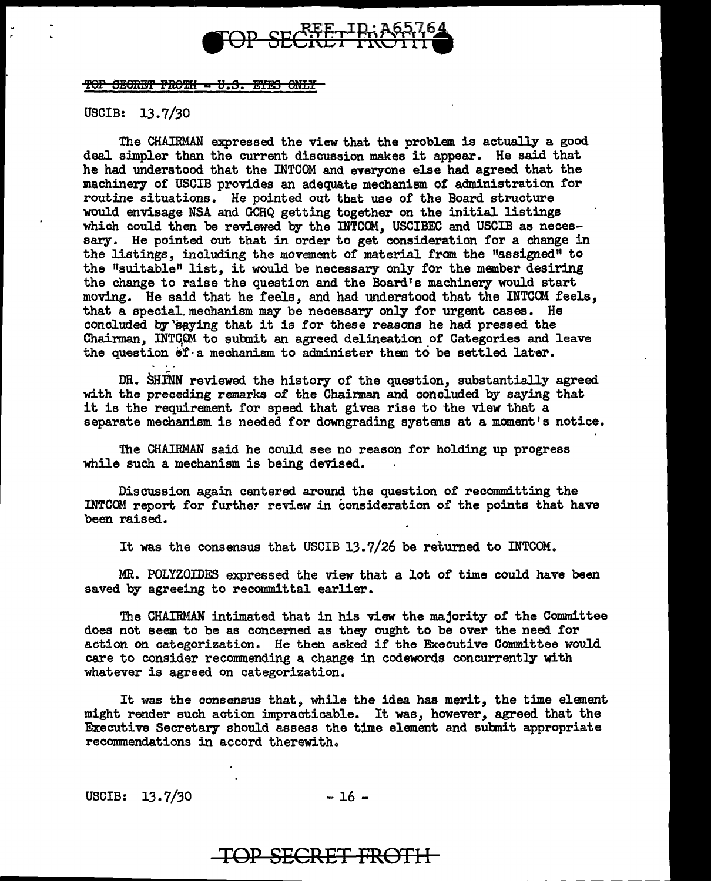

TOP SECRET FROTH - U.S. EYES ONLY

#### USCIB: 13. 7 */30*

The CHAIRMAN expressed the view that the problem is actually a good deal simpler than the current discussion makes it appear. He said that he had understood that the INTCOM and everyone else had agreed that the machinery of USCIB provides an adequate mechanism of administration for routine situations. He pointed out that use of the Board structure would envisage NSA and GCHQ getting together on the initial listings which could then be reviewed by the INTCCM, USCIBEC and USCIB as necessary. He pointed out that in order to get consideration for a change in the listings, including the movement of material from the "assigned" to the "suitable" list, it would be necessary only for the member desiring the change to raise the question and the Board's machinery would start moving. He said that he feels, and had understood that the INTCCM feels, that a special.mechanism may be necessary only for urgent cases. He concluded by *eaying* that it is for these reasons he had pressed the Chairman, INTCOM to submit an agreed delineation of Categories and leave the question  $f \cdot a$  mechanism to administer them to be settled later.

DR. SHINN reviewed the history of the question, substantially agreed with the preceding remarks of the Chainnan and concluded by saying that it is the requirement for speed that gives rise to the view that a separate mechanism is needed for downgrading systems at a moment's notice.

The CHAIRMAN said he could see no reason for holding up progress while such a mechanism is being devised.

Discussion again centered around the question of recommitting the INTCOM report for further review in consideration of the points that have been raised.

It was the consensus that USCIB 13.7/26 be returned to INTCOM.

MR. POLYZOIDES expressed the view that a lot or time could have been saved by agreeing to recommittal earlier.

The CHAIRMAN intimated that in his view the majority of the Committee does not seem to be as concerned as they ought to be over the need for action on categorization. He then asked if the Executive Committee would care to consider recommending a change in codewords concurrently with whatever is agreed on categorization.

It was the consensus that, while the idea has merit, the time element might render such action impracticable. It was, however, agreed that the Executive Secretary should assess the time element and subnit appropriate recommendations in accord therewith.

USCIB: 13.7/30 - 16 -